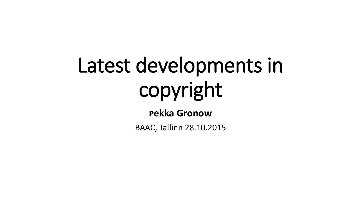# Latest developments in copyright

**Pekka Gronow**

BAAC, Tallinn 28.10.2015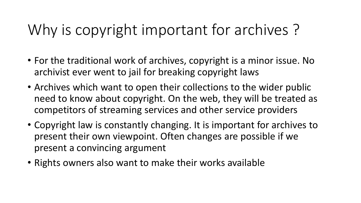## Why is copyright important for archives ?

- For the traditional work of archives, copyright is a minor issue. No archivist ever went to jail for breaking copyright laws
- Archives which want to open their collections to the wider public need to know about copyright. On the web, they will be treated as competitors of streaming services and other service providers
- Copyright law is constantly changing. It is important for archives to present their own viewpoint. Often changes are possible if we present a convincing argument
- Rights owners also want to make their works available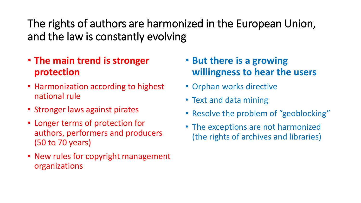The rights of authors are harmonized in the European Union, and the law is constantly evolving

- **The main trend is stronger protection**
- Harmonization according to highest national rule
- Stronger laws against pirates
- Longer terms of protection for authors, performers and producers (50 to 70 years)
- New rules for copyright management organizations
- **But there is a growing willingness to hear the users**
- Orphan works directive
- Text and data mining
- Resolve the problem of "geoblocking"
- The exceptions are not harmonized (the rights of archives and libraries)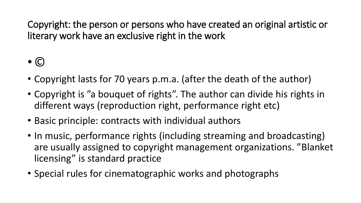Copyright: the person or persons who have created an original artistic or literary work have an exclusive right in the work

#### $\bullet$   $\odot$

- Copyright lasts for 70 years p.m.a. (after the death of the author)
- Copyright is "a bouquet of rights". The author can divide his rights in different ways (reproduction right, performance right etc)
- Basic principle: contracts with individual authors
- In music, performance rights (including streaming and broadcasting) are usually assigned to copyright management organizations. "Blanket licensing" is standard practice
- Special rules for cinematographic works and photographs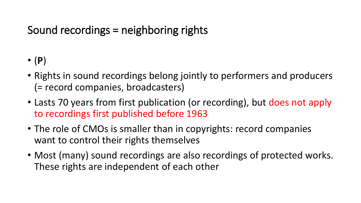#### Sound recordings = neighboring rights

- (**P**)
- Rights in sound recordings belong jointly to performers and producers (= record companies, broadcasters)
- Lasts 70 years from first publication (or recording), but does not apply to recordings first published before 1963
- The role of CMOs is smaller than in copyrights: record companies want to control their rights themselves
- Most (many) sound recordings are also recordings of protected works. These rights are independent of each other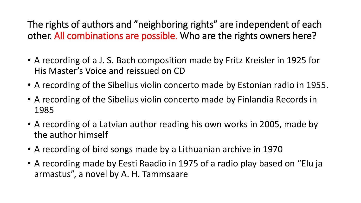The rights of authors and "neighboring rights" are independent of each other. All combinations are possible. Who are the rights owners here?

- A recording of a J. S. Bach composition made by Fritz Kreisler in 1925 for His Master's Voice and reissued on CD
- A recording of the Sibelius violin concerto made by Estonian radio in 1955.
- A recording of the Sibelius violin concerto made by Finlandia Records in 1985
- A recording of a Latvian author reading his own works in 2005, made by the author himself
- A recording of bird songs made by a Lithuanian archive in 1970
- A recording made by Eesti Raadio in 1975 of a radio play based on "Elu ja armastus", a novel by A. H. Tammsaare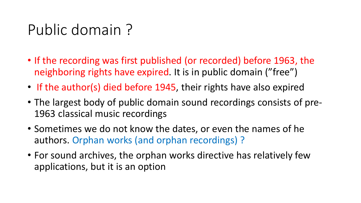#### Public domain ?

- If the recording was first published (or recorded) before 1963, the neighboring rights have expired. It is in public domain ("free")
- If the author(s) died before 1945, their rights have also expired
- The largest body of public domain sound recordings consists of pre-1963 classical music recordings
- Sometimes we do not know the dates, or even the names of he authors. Orphan works (and orphan recordings) ?
- For sound archives, the orphan works directive has relatively few applications, but it is an option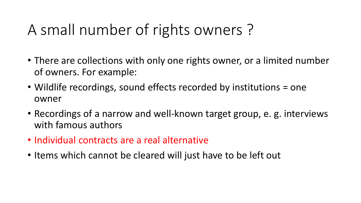## A small number of rights owners ?

- There are collections with only one rights owner, or a limited number of owners. For example:
- Wildlife recordings, sound effects recorded by institutions = one owner
- Recordings of a narrow and well-known target group, e. g. interviews with famous authors
- Individual contracts are a real alternative
- Items which cannot be cleared will just have to be left out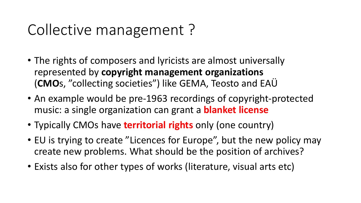#### Collective management ?

- The rights of composers and lyricists are almost universally represented by **copyright management organizations** (**CMO**s, "collecting societies") like GEMA, Teosto and EAÜ
- An example would be pre-1963 recordings of copyright-protected music: a single organization can grant a **blanket license**
- Typically CMOs have **territorial rights** only (one country)
- EU is trying to create "Licences for Europe", but the new policy may create new problems. What should be the position of archives?
- Exists also for other types of works (literature, visual arts etc)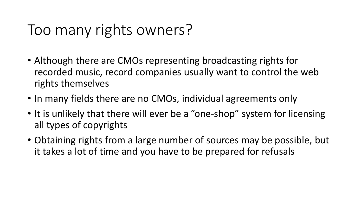#### Too many rights owners?

- Although there are CMOs representing broadcasting rights for recorded music, record companies usually want to control the web rights themselves
- In many fields there are no CMOs, individual agreements only
- It is unlikely that there will ever be a "one-shop" system for licensing all types of copyrights
- Obtaining rights from a large number of sources may be possible, but it takes a lot of time and you have to be prepared for refusals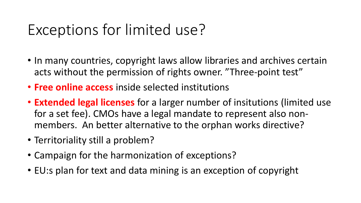#### Exceptions for limited use?

- In many countries, copyright laws allow libraries and archives certain acts without the permission of rights owner. "Three-point test"
- **Free online access** inside selected institutions
- **Extended legal licenses** for a larger number of insitutions (limited use for a set fee). CMOs have a legal mandate to represent also nonmembers. An better alternative to the orphan works directive?
- Territoriality still a problem?
- Campaign for the harmonization of exceptions?
- EU:s plan for text and data mining is an exception of copyright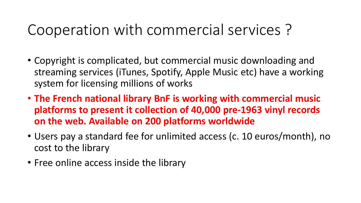#### Cooperation with commercial services ?

- Copyright is complicated, but commercial music downloading and streaming services (iTunes, Spotify, Apple Music etc) have a working system for licensing millions of works
- **The French national library BnF is working with commercial music platforms to present it collection of 40,000 pre-1963 vinyl records on the web. Available on 200 platforms worldwide**
- Users pay a standard fee for unlimited access (c. 10 euros/month), no cost to the library
- Free online access inside the library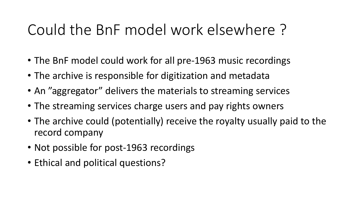#### Could the BnF model work elsewhere ?

- The BnF model could work for all pre-1963 music recordings
- The archive is responsible for digitization and metadata
- An "aggregator" delivers the materials to streaming services
- The streaming services charge users and pay rights owners
- The archive could (potentially) receive the royalty usually paid to the record company
- Not possible for post-1963 recordings
- Ethical and political questions?